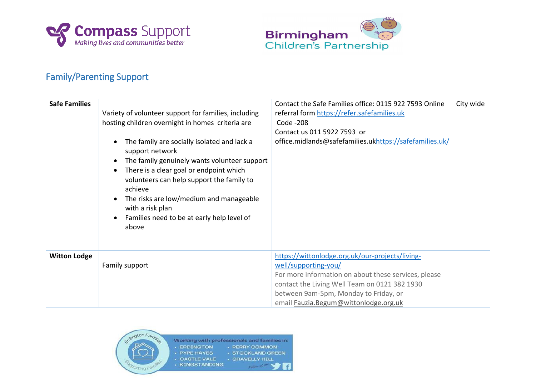



## Family/Parenting Support

| <b>Safe Families</b> | Variety of volunteer support for families, including<br>hosting children overnight in homes criteria are<br>The family are socially isolated and lack a<br>$\bullet$<br>support network<br>The family genuinely wants volunteer support<br>$\bullet$<br>There is a clear goal or endpoint which<br>$\bullet$<br>volunteers can help support the family to<br>achieve<br>The risks are low/medium and manageable<br>$\bullet$<br>with a risk plan<br>Families need to be at early help level of<br>$\bullet$<br>above | Contact the Safe Families office: 0115 922 7593 Online<br>referral form https://refer.safefamilies.uk<br>Code -208<br>Contact us 011 5922 7593 or<br>office.midlands@safefamilies.ukhttps://safefamilies.uk/                                                        | City wide |
|----------------------|----------------------------------------------------------------------------------------------------------------------------------------------------------------------------------------------------------------------------------------------------------------------------------------------------------------------------------------------------------------------------------------------------------------------------------------------------------------------------------------------------------------------|---------------------------------------------------------------------------------------------------------------------------------------------------------------------------------------------------------------------------------------------------------------------|-----------|
| <b>Witton Lodge</b>  | Family support                                                                                                                                                                                                                                                                                                                                                                                                                                                                                                       | https://wittonlodge.org.uk/our-projects/living-<br>well/supporting-you/<br>For more information on about these services, please<br>contact the Living Well Team on 0121 382 1930<br>between 9am-5pm, Monday to Friday, or<br>email Fauzia. Begum@wittonlodge.org.uk |           |